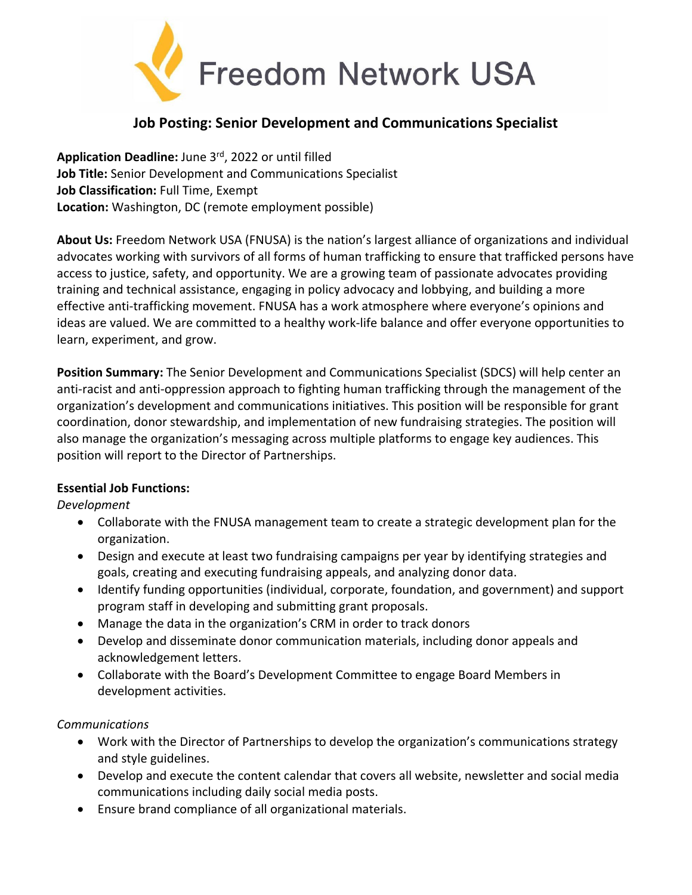

# **Job Posting: Senior Development and Communications Specialist**

**Application Deadline:** June 3rd, 2022 or until filled **Job Title:** Senior Development and Communications Specialist **Job Classification:** Full Time, Exempt **Location:** Washington, DC (remote employment possible)

**About Us:** Freedom Network USA (FNUSA) is the nation's largest alliance of organizations and individual advocates working with survivors of all forms of human trafficking to ensure that trafficked persons have access to justice, safety, and opportunity. We are a growing team of passionate advocates providing training and technical assistance, engaging in policy advocacy and lobbying, and building a more effective anti-trafficking movement. FNUSA has a work atmosphere where everyone's opinions and ideas are valued. We are committed to a healthy work-life balance and offer everyone opportunities to learn, experiment, and grow.

**Position Summary:** The Senior Development and Communications Specialist (SDCS) will help center an anti-racist and anti-oppression approach to fighting human trafficking through the management of the organization's development and communications initiatives. This position will be responsible for grant coordination, donor stewardship, and implementation of new fundraising strategies. The position will also manage the organization's messaging across multiple platforms to engage key audiences. This position will report to the Director of Partnerships.

## **Essential Job Functions:**

*Development*

- Collaborate with the FNUSA management team to create a strategic development plan for the organization.
- Design and execute at least two fundraising campaigns per year by identifying strategies and goals, creating and executing fundraising appeals, and analyzing donor data.
- Identify funding opportunities (individual, corporate, foundation, and government) and support program staff in developing and submitting grant proposals.
- Manage the data in the organization's CRM in order to track donors
- Develop and disseminate donor communication materials, including donor appeals and acknowledgement letters.
- Collaborate with the Board's Development Committee to engage Board Members in development activities.

## *Communications*

- Work with the Director of Partnerships to develop the organization's communications strategy and style guidelines.
- Develop and execute the content calendar that covers all website, newsletter and social media communications including daily social media posts.
- Ensure brand compliance of all organizational materials.